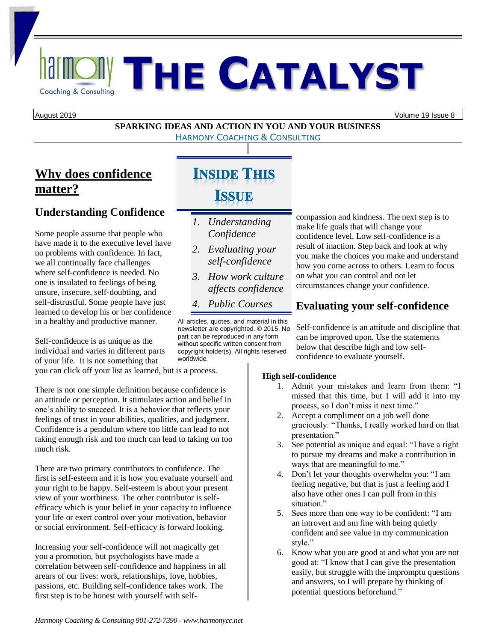# **RallMOIN THE CATALYST**

August 2019 Volume 19 Issue 8

#### **SPARKING IDEAS AND ACTION IN YOU AND YOUR BUSINESS** HARMONY COACHING & CONSULTING

## **Why does confidence matter?**

## **Understanding Confidence**

Some people assume that people who have made it to the executive level have no problems with confidence. In fact, we all continually face challenges where self-confidence is needed. No one is insulated to feelings of being unsure, insecure, self-doubting, and self-distrustful. Some people have just learned to develop his or her confidence in a healthy and productive manner.

Self-confidence is as unique as the individual and varies in different parts of your life. It is not something that you can click off your list as learned, but is a process.

There is not one simple definition because confidence is an attitude or perception. It stimulates action and belief in one's ability to succeed. It is a behavior that reflects your feelings of trust in your abilities, qualities, and judgment. Confidence is a pendulum where too little can lead to not taking enough risk and too much can lead to taking on too much risk.

There are two primary contributors to confidence. The first is self-esteem and it is how you evaluate yourself and your right to be happy. Self-esteem is about your present view of your worthiness. The other contributor is selfefficacy which is your belief in your capacity to influence your life or exert control over your motivation, behavior or social environment. Self-efficacy is forward looking.

Increasing your self-confidence will not magically get you a promotion, but psychologists have made a correlation between self-confidence and happiness in all arears of our lives: work, relationships, love, hobbies, passions, etc. Building self-confidence takes work. The first step is to be honest with yourself with self-

# **INSIDE THIS ISSUE**

- *1. Understanding Confidence*
- *2. Evaluating your self-confidence*
- *3. How work culture affects confidence*
- *4. Public Courses*

All articles, quotes, and material in this newsletter are copyrighted. © 2015. No part can be reproduced in any form without specific written consent from copyright holder(s). All rights reserved worldwide.

compassion and kindness. The next step is to make life goals that will change your confidence level. Low self-confidence is a result of inaction. Step back and look at why you make the choices you make and understand how you come across to others. Learn to focus on what you can control and not let circumstances change your confidence.

## **Evaluating your self-confidence**

Self-confidence is an attitude and discipline that can be improved upon. Use the statements below that describe high and low selfconfidence to evaluate yourself.

#### **High self-confidence**

- 1. Admit your mistakes and learn from them: "I missed that this time, but I will add it into my process, so I don't miss it next time."
- 2. Accept a compliment on a job well done graciously: "Thanks, I really worked hard on that presentation."
- 3. See potential as unique and equal: "I have a right to pursue my dreams and make a contribution in ways that are meaningful to me."
- 4. Don't let your thoughts overwhelm you: "I am feeling negative, but that is just a feeling and I also have other ones I can pull from in this situation."
- 5. Sees more than one way to be confident: "I am an introvert and am fine with being quietly confident and see value in my communication style."
- 6. Know what you are good at and what you are not good at: "I know that I can give the presentation easily, but struggle with the impromptu questions and answers, so I will prepare by thinking of potential questions beforehand."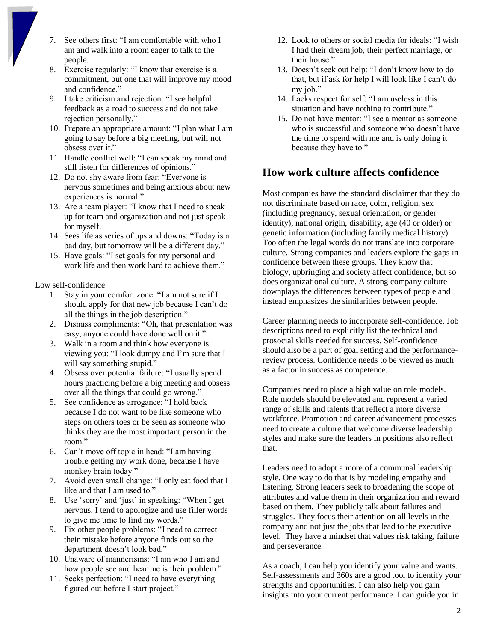- 7. See others first: "I am comfortable with who I am and walk into a room eager to talk to the people.
- 8. Exercise regularly: "I know that exercise is a commitment, but one that will improve my mood and confidence."
- 9. I take criticism and rejection: "I see helpful feedback as a road to success and do not take rejection personally."
- 10. Prepare an appropriate amount: "I plan what I am going to say before a big meeting, but will not obsess over it."
- 11. Handle conflict well: "I can speak my mind and still listen for differences of opinions."
- 12. Do not shy aware from fear: "Everyone is nervous sometimes and being anxious about new experiences is normal."
- 13. Are a team player: "I know that I need to speak up for team and organization and not just speak for myself.
- 14. Sees life as series of ups and downs: "Today is a bad day, but tomorrow will be a different day."
- 15. Have goals: "I set goals for my personal and work life and then work hard to achieve them."

Low self-confidence

- 1. Stay in your comfort zone: "I am not sure if I should apply for that new job because I can't do all the things in the job description."
- 2. Dismiss compliments: "Oh, that presentation was easy, anyone could have done well on it."
- 3. Walk in a room and think how everyone is viewing you: "I look dumpy and I'm sure that I will say something stupid."
- 4. Obsess over potential failure: "I usually spend hours practicing before a big meeting and obsess over all the things that could go wrong."
- 5. See confidence as arrogance: "I hold back because I do not want to be like someone who steps on others toes or be seen as someone who thinks they are the most important person in the room."
- 6. Can't move off topic in head: "I am having trouble getting my work done, because I have monkey brain today."
- 7. Avoid even small change: "I only eat food that I like and that I am used to."
- 8. Use 'sorry' and 'just' in speaking: "When I get nervous, I tend to apologize and use filler words to give me time to find my words."
- 9. Fix other people problems: "I need to correct their mistake before anyone finds out so the department doesn't look bad."
- 10. Unaware of mannerisms: "I am who I am and how people see and hear me is their problem."
- 11. Seeks perfection: "I need to have everything figured out before I start project."
- 12. Look to others or social media for ideals: "I wish I had their dream job, their perfect marriage, or their house."
- 13. Doesn't seek out help: "I don't know how to do that, but if ask for help I will look like I can't do my job."
- 14. Lacks respect for self: "I am useless in this situation and have nothing to contribute."
- 15. Do not have mentor: "I see a mentor as someone who is successful and someone who doesn't have the time to spend with me and is only doing it because they have to."

## **How work culture affects confidence**

Most companies have the standard disclaimer that they do not discriminate based on race, color, religion, sex (including pregnancy, sexual orientation, or gender identity), national origin, disability, age (40 or older) or genetic information (including family medical history). Too often the legal words do not translate into corporate culture. Strong companies and leaders explore the gaps in confidence between these groups. They know that biology, upbringing and society affect confidence, but so does organizational culture. A strong company culture downplays the differences between types of people and instead emphasizes the similarities between people.

Career planning needs to incorporate self-confidence. Job descriptions need to explicitly list the technical and prosocial skills needed for success. Self-confidence should also be a part of goal setting and the performancereview process. Confidence needs to be viewed as much as a factor in success as competence.

Companies need to place a high value on role models. Role models should be elevated and represent a varied range of skills and talents that reflect a more diverse workforce. Promotion and career advancement processes need to create a culture that welcome diverse leadership styles and make sure the leaders in positions also reflect that.

Leaders need to adopt a more of a communal leadership style. One way to do that is by modeling empathy and listening. Strong leaders seek to broadening the scope of attributes and value them in their organization and reward based on them. They publicly talk about failures and struggles. They focus their attention on all levels in the company and not just the jobs that lead to the executive level. They have a mindset that values risk taking, failure and perseverance.

As a coach, I can help you identify your value and wants. Self-assessments and 360s are a good tool to identify your strengths and opportunities. I can also help you gain insights into your current performance. I can guide you in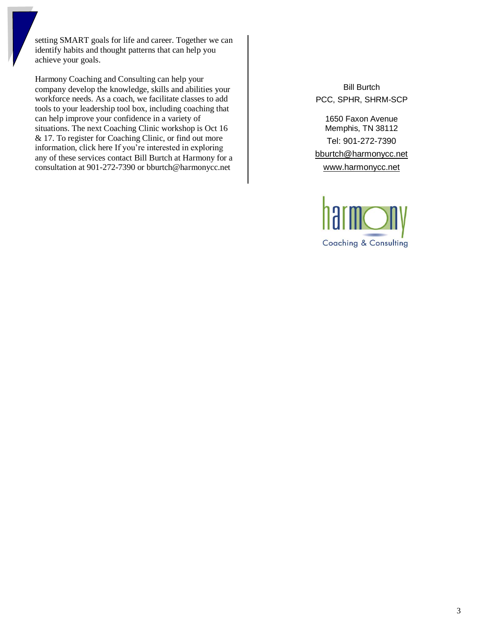setting SMART goals for life and career. Together we can identify habits and thought patterns that can help you achieve your goals.

Harmony Coaching and Consulting can help your company develop the knowledge, skills and abilities your workforce needs. As a coach, we facilitate classes to add tools to your leadership tool box, including coaching that can help improve your confidence in a variety of situations. The next Coaching Clinic workshop is Oct 16 & 17. To register for Coaching Clinic, or find out more information, click here If you're interested in exploring any of these services contact Bill Burtch at Harmony for a consultation at 901-272-7390 or bburtch@harmonycc.net

Bill Burtch PCC, SPHR, SHRM-SCP

> 1650 Faxon Avenue Memphis, TN 38112

> Tel: 901-272-7390

[bburtch@harmonycc.net](mailto:bburtch@harmonycc.net)

[www.harmonycc.net](http://www.harmonycc.net/)